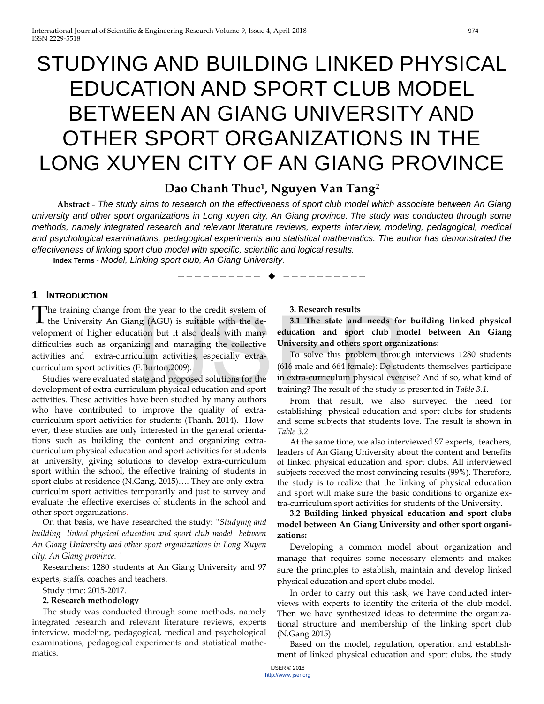# STUDYING AND BUILDING LINKED PHYSICAL EDUCATION AND SPORT CLUB MODEL BETWEEN AN GIANG UNIVERSITY AND OTHER SPORT ORGANIZATIONS IN THE LONG XUYEN CITY OF AN GIANG PROVINCE

# **Dao Chanh Thuc1, Nguyen Van Tang2**

**Abstract** - *The study aims to research on the effectiveness of sport club model which associate between An Giang university and other sport organizations in Long xuyen city, An Giang province. The study was conducted through some methods, namely integrated research and relevant literature reviews, experts interview, modeling, pedagogical, medical and psychological examinations, pedagogical experiments and statistical mathematics. The author has demonstrated the effectiveness of linking sport club model with specific, scientific and logical results.*

—————————— ——————————

**Index Terms** - *Model, Linking sport club, An Giang University*.

# **1 INTRODUCTION**

The training change from the year to the credit system of The training change from the year to the credit system of the University An Giang (AGU) is suitable with the development of higher education but it also deals with many difficulties such as organizing and managing the collective activities and extra-curriculum activities, especially extracurriculum sport activities (E.Burton,2009). It the year to the etectic system of the state and needs for<br>the but it also deals with many **education** and sport club mo<br>zing and managing the collective University and others sport organizulum<br>activities, especially ext

Studies were evaluated state and proposed solutions for the development of extra-curriculum physical education and sport activities. These activities have been studied by many authors who have contributed to improve the quality of extracurriculum sport activities for students (Thanh, 2014). However, these studies are only interested in the general orientations such as building the content and organizing extracurriculum physical education and sport activities for students at university, giving solutions to develop extra-curriculum sport within the school, the effective training of students in sport clubs at residence (N.Gang, 2015)…. They are only extracurriculm sport activities temporarily and just to survey and evaluate the effective exercises of students in the school and other sport organizations.

On that basis, we have researched the study: *"Studying and building linked physical education and sport club model between An Giang University and other sport organizations in Long Xuyen city, An Giang province. "*

Researchers: 1280 students at An Giang University and 97 experts, staffs, coaches and teachers.

### Study time: 2015-2017.

# **2. Research methodology**

The study was conducted through some methods, namely integrated research and relevant literature reviews, experts interview, modeling, pedagogical, medical and psychological examinations, pedagogical experiments and statistical mathematics.

# **3. Research results**

**3.1 The state and needs for building linked physical education and sport club model between An Giang University and others sport organizations:**

To solve this problem through interviews 1280 students (616 male and 664 female): Do students themselves participate in extra-curriculum physical exercise? And if so, what kind of training? The result of the study is presented in *Table 3.1.*

From that result, we also surveyed the need for establishing physical education and sport clubs for students and some subjects that students love. The result is shown in *Table 3.2*

At the same time, we also interviewed 97 experts, teachers, leaders of An Giang University about the content and benefits of linked physical education and sport clubs. All interviewed subjects received the most convincing results (99%). Therefore, the study is to realize that the linking of physical education and sport will make sure the basic conditions to organize extra-curriculum sport activities for students of the University.

**3.2 Building linked physical education and sport clubs model between An Giang University and other sport organizations:** 

Developing a common model about organization and manage that requires some necessary elements and makes sure the principles to establish, maintain and develop linked physical education and sport clubs model.

In order to carry out this task, we have conducted interviews with experts to identify the criteria of the club model. Then we have synthesized ideas to determine the organizational structure and membership of the linking sport club (N.Gang 2015).

Based on the model, regulation, operation and establishment of linked physical education and sport clubs, the study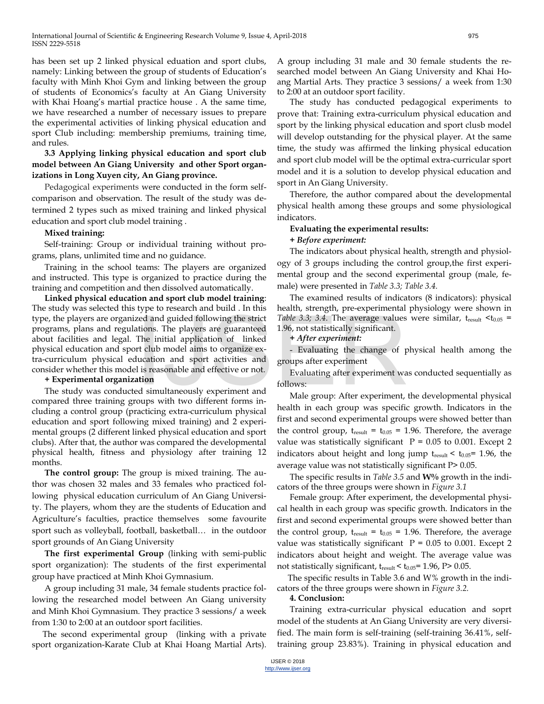has been set up 2 linked physical eduation and sport clubs, namely: Linking between the group of students of Education's faculty with Minh Khoi Gym and linking between the group of students of Economics's faculty at An Giang University with Khai Hoang's martial practice house . A the same time, we have researched a number of necessary issues to prepare the experimental activities of linking physical education and sport Club including: membership premiums, training time, and rules.

# **3.3 Applying linking physical education and sport club model between An Giang University and other Sport organizations in Long Xuyen city, An Giang province.**

Pedagogical experiments were conducted in the form selfcomparison and observation. The result of the study was determined 2 types such as mixed training and linked physical education and sport club model training .

### **Mixed training:**

Self-training: Group or individual training without programs, plans, unlimited time and no guidance.

Training in the school teams: The players are organized and instructed. This type is organized to practice during the training and competition and then dissolved automatically.

**Linked physical education and sport club model training**: The study was selected this type to research and build . In this type, the players are organized and guided following the strict programs, plans and regulations. The players are guaranteed about facilities and legal. The initial application of linked physical education and sport club model aims to organize extra-curriculum physical education and sport activities and consider whether this model is reasonable and effective or not. Expediant details and guided following the strict Table 3.3; 3.4. The average values<br>tions. The players are guaranteed 1.96, not statistically significant.<br>The initial application of linked  $+ After experiment:$ <br>rt club model aims to org

# **+ Experimental organization**

The study was conducted simultaneously experiment and compared three training groups with two different forms including a control group (practicing extra-curriculum physical education and sport following mixed training) and 2 experimental groups (2 different linked physical education and sport clubs). After that, the author was compared the developmental physical health, fitness and physiology after training 12 months.

**The control group:** The group is mixed training. The author was chosen 32 males and 33 females who practiced following physical education curriculum of An Giang University. The players, whom they are the students of Education and Agriculture's faculties, practice themselves some favourite sport such as volleyball, football, basketball… in the outdoor sport grounds of An Giang University

**The first experimental Group** (linking with semi-public sport organization): The students of the first experimental group have practiced at Minh Khoi Gymnasium.

A group including 31 male, 34 female students practice following the researched model between An Giang university and Minh Khoi Gymnasium. They practice 3 sessions/ a week from 1:30 to 2:00 at an outdoor sport facilities.

The second experimental group (linking with a private sport organization-Karate Club at Khai Hoang Martial Arts).

A group including 31 male and 30 female students the researched model between An Giang University and Khai Hoang Martial Arts. They practice 3 sessions/ a week from 1:30 to 2:00 at an outdoor sport facility.

The study has conducted pedagogical experiments to prove that: Training extra-curriculum physical education and sport by the linking physical education and sport clusb model will develop outstanding for the physical player. At the same time, the study was affirmed the linking physical education and sport club model will be the optimal extra-curricular sport model and it is a solution to develop physical education and sport in An Giang University.

Therefore, the author compared about the developmental physical health among these groups and some physiological indicators.

#### **Evaluating the experimental results:**

## *+ Before experiment:*

The indicators about physical health, strength and physiology of 3 groups including the control group,the first experimental group and the second experimental group (male, female) were presented in *Table 3.3; Table 3.4.*

The examined results of indicators (8 indicators): physical health, strength, pre-experimental physiology were shown in *Table 3.3; 3.4.* The average values were similar,  $t_{result} < t_{0.05}$  = 1.96, not statistically significant.

*+ After experiment:*

- Evaluating the change of physical health among the groups after experiment

Evaluating after experiment was conducted sequentially as follows:

Male group: After experiment, the developmental physical health in each group was specific growth. Indicators in the first and second experimental groups were showed better than the control group,  $t_{result} = t_{0.05} = 1.96$ . Therefore, the average value was statistically significant  $P = 0.05$  to 0.001. Except 2 indicators about height and long jump  $t_{result} < t_{0.05}$ = 1.96, the average value was not statistically significant P> 0.05.

The specific results in *Table 3.5* and **W%** growth in the indicators of the three groups were shown in *Figure 3.1*

Female group: After experiment, the developmental physical health in each group was specific growth. Indicators in the first and second experimental groups were showed better than the control group,  $t_{result} = t_{0.05} = 1.96$ . Therefore, the average value was statistically significant  $P = 0.05$  to 0.001. Except 2 indicators about height and weight. The average value was not statistically significant,  $t_{result} < t_{0.05}$ = 1.96, P> 0.05.

The specific results in Table 3.6 and W% growth in the indicators of the three groups were shown in *Figure 3.2.* 

#### **4. Conclusion:**

Training extra-curricular physical education and soprt model of the students at An Giang University are very diversified. The main form is self-training (self-training 36.41%, selftraining group 23.83%). Training in physical education and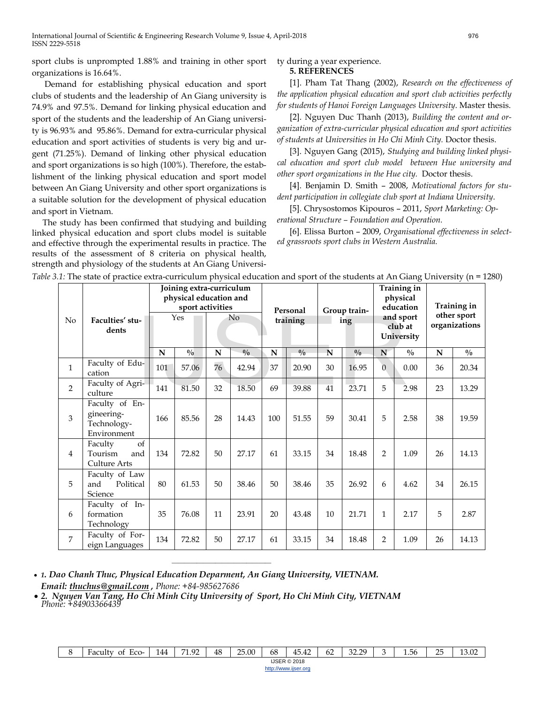sport clubs is unprompted 1.88% and training in other sport organizations is 16.64%.

Demand for establishing physical education and sport clubs of students and the leadership of An Giang university is 74.9% and 97.5%. Demand for linking physical education and sport of the students and the leadership of An Giang university is 96.93% and 95.86%. Demand for extra-curricular physical education and sport activities of students is very big and urgent (71.25%). Demand of linking other physical education and sport organizations is so high (100%). Therefore, the establishment of the linking physical education and sport model between An Giang University and other sport organizations is a suitable solution for the development of physical education and sport in Vietnam.

The study has been confirmed that studying and building linked physical education and sport clubs model is suitable and effective through the experimental results in practice. The results of the assessment of 8 criteria on physical health, strength and physiology of the students at An Giang Universi-

# ty during a year experience.

#### **5. REFERENCES**

[1]. Pham Tat Thang (2002), *Research on the effectiveness of the application physical education and sport club activities perfectly for students of Hanoi Foreign Languages University*. Master thesis.

[2]. Nguyen Duc Thanh (2013), *Building the content and organization of extra-curricular physical education and sport activities of students at Universities in Ho Chi Minh City.* Doctor thesis.

[3]. Nguyen Gang (2015), *Studying and building linked physical education and sport club model between Hue university and other sport organizations in the Hue city.* Doctor thesis.

[4]. Benjamin D. Smith – 2008, *Motivational factors for student participation in collegiate club sport at Indiana University*.

[5]. Chrysostomos Kipouros – 2011, *Sport Marketing: Operational Structure – Foundation and Operation.*

[6]. Elissa Burton – 2009, *Organisational effectiveness in selected grassroots sport clubs in Western Australia.*

|                | .1. The state of practice extra-curriculum physical equeation and sport of the students at An Giang University |     |                                                   |    |                                                                    |             |               |    |                     |                |                                                                            |                                             |               |  |
|----------------|----------------------------------------------------------------------------------------------------------------|-----|---------------------------------------------------|----|--------------------------------------------------------------------|-------------|---------------|----|---------------------|----------------|----------------------------------------------------------------------------|---------------------------------------------|---------------|--|
| No             | Faculties' stu-<br>dents                                                                                       |     | physical education and<br>sport activities<br>Yes |    | Joining extra-curriculum<br>Personal<br>N <sub>o</sub><br>training |             |               |    | Group train-<br>ing |                | Training in<br>physical<br>education<br>and sport<br>club at<br>University | Training in<br>other sport<br>organizations |               |  |
|                |                                                                                                                | N   | $\frac{0}{0}$                                     | N  | $\frac{0}{0}$                                                      | $\mathbf N$ | $\frac{0}{0}$ | N  | $\frac{0}{0}$       | N              | $\frac{0}{0}$                                                              | N                                           | $\frac{0}{0}$ |  |
| $\mathbf{1}$   | Faculty of Edu-<br>cation                                                                                      | 101 | 57.06                                             | 76 | 42.94                                                              | 37          | 20.90         | 30 | 16.95               | $\Omega$       | 0.00                                                                       | 36                                          | 20.34         |  |
| $\overline{2}$ | Faculty of Agri-<br>culture                                                                                    | 141 | 81.50                                             | 32 | 18.50                                                              | 69          | 39.88         | 41 | 23.71               | 5              | 2.98                                                                       | 23                                          | 13.29         |  |
| 3              | Faculty of En-<br>gineering-<br>Technology-<br>Environment                                                     | 166 | 85.56                                             | 28 | 14.43                                                              | 100         | 51.55         | 59 | 30.41               | 5              | 2.58                                                                       | 38                                          | 19.59         |  |
| $\overline{4}$ | of<br>Faculty<br>Tourism<br>and<br>Culture Arts                                                                | 134 | 72.82                                             | 50 | 27.17                                                              | 61          | 33.15         | 34 | 18.48               | $\overline{2}$ | 1.09                                                                       | 26                                          | 14.13         |  |
| 5              | Faculty of Law<br>Political<br>and<br>Science                                                                  | 80  | 61.53                                             | 50 | 38.46                                                              | 50          | 38.46         | 35 | 26.92               | 6              | 4.62                                                                       | 34                                          | 26.15         |  |
| 6              | Faculty of In-<br>formation<br>Technology                                                                      | 35  | 76.08                                             | 11 | 23.91                                                              | 20          | 43.48         | 10 | 21.71               | 1              | 2.17                                                                       | 5                                           | 2.87          |  |
| $\overline{7}$ | Faculty of For-<br>eign Languages                                                                              | 134 | 72.82                                             | 50 | 27.17                                                              | 61          | 33.15         | 34 | 18.48               | 2              | 1.09                                                                       | 26                                          | 14.13         |  |

*Table 3.1:* The state of practice extra-curriculum physical education and sport of the students at An Giang University (n = 1280)

• *1. Dao Chanh Thuc, Physical Education Deparment, An Giang University, VIETNAM. Email: [thuchus@gmail.com](mailto:thuchus@gmail.com) , Phone: +84-985627686*

• *2. Nguyen Van Tang, Ho Chi Minh City University of Sport, Ho Chi Minh City, VIETNAM Phone: +84903366439*

————————————————

| ⌒<br>. . | $\sim$<br>⊦acultv<br>Ωt<br>ECO- | 144 | <b>124</b><br>$\Omega$<br>-- | 48<br>68<br>OF.<br>$-$<br>$\sim$<br>つに<br>$\hat{ }$<br>$\sim$<br>$20^{\circ}$<br>$\sim$<br>$\angle 5.00$<br>45.<br>1.56<br>62<br>45.42<br>رےدی<br>∼<br>.<br>_<br>$\sim$ |  |  |  |  |  |  |  |  | $\sim$ |  |  |
|----------|---------------------------------|-----|------------------------------|-------------------------------------------------------------------------------------------------------------------------------------------------------------------------|--|--|--|--|--|--|--|--|--------|--|--|
|          | <b>IJSER © 2018</b><br>.        |     |                              |                                                                                                                                                                         |  |  |  |  |  |  |  |  |        |  |  |
|          | http://www.ijser.org            |     |                              |                                                                                                                                                                         |  |  |  |  |  |  |  |  |        |  |  |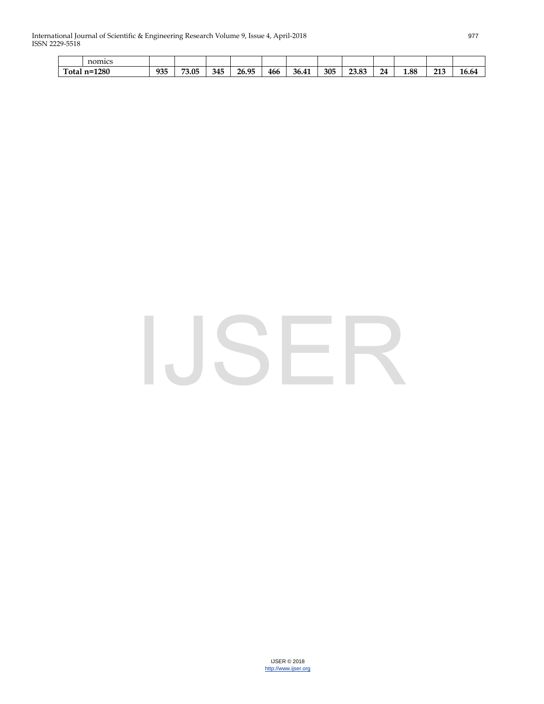International Journal of Scientific & Engineering Research Volume 9, Issue 4, April-2018 977 ISSN 2229-5518

|                             | nomics |     |               |     |       |     |                    |     |       |          |      |                   |                           |
|-----------------------------|--------|-----|---------------|-----|-------|-----|--------------------|-----|-------|----------|------|-------------------|---------------------------|
| 1280<br>$\sim$<br>`otal n=` |        | 935 | 73.05<br>כט כ | 345 | 26.95 | 466 | 26<br>41<br>-20.4. | 305 | 23.83 | 24<br>-- | 1.88 | 212<br>∠⊥∪<br>___ | $\sim$<br>$\sim$<br>10.04 |

# IJSER

IJSER © 2018 [http://www.ijser.org](http://www.ijser.org/)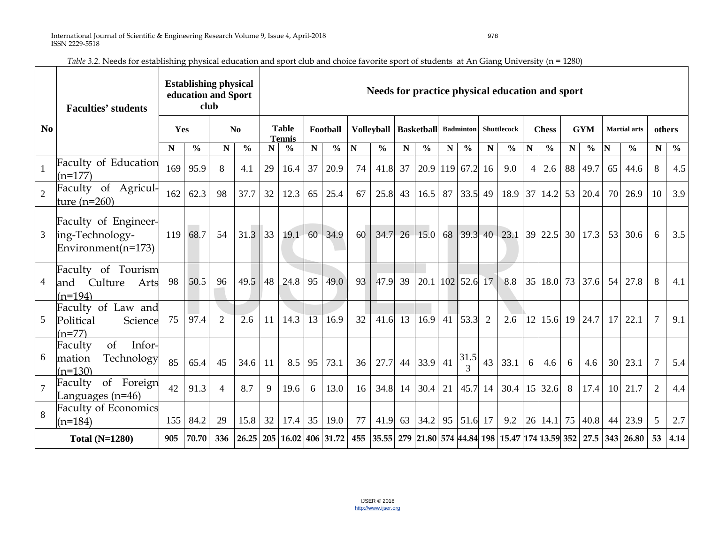|                | <b>Faculties' students</b>                                    |     | <b>Establishing physical</b><br>education and Sport<br>club |                |                           |                               |               |          | Needs for practice physical education and sport |            |               |                             |                    |             |               |             |                                 |                |                   |             |                       |                     |                                                                      |                    |               |
|----------------|---------------------------------------------------------------|-----|-------------------------------------------------------------|----------------|---------------------------|-------------------------------|---------------|----------|-------------------------------------------------|------------|---------------|-----------------------------|--------------------|-------------|---------------|-------------|---------------------------------|----------------|-------------------|-------------|-----------------------|---------------------|----------------------------------------------------------------------|--------------------|---------------|
| N <sub>0</sub> |                                                               | Yes |                                                             | N <sub>0</sub> |                           | <b>Table</b><br><b>Tennis</b> |               | Football |                                                 | Volleyball |               | <b>Basketball</b> Badminton |                    |             |               | Shuttlecock |                                 | <b>Chess</b>   |                   | <b>GYM</b>  |                       | <b>Martial</b> arts |                                                                      | others             |               |
|                |                                                               | N   | $\frac{0}{0}$                                               | ${\bf N}$      | $\frac{0}{0}$             | N                             | $\frac{0}{0}$ | N        | $\frac{0}{0}$                                   | ${\bf N}$  | $\frac{6}{6}$ | N                           | $\frac{6}{6}$      | $\mathbf N$ | $\frac{0}{0}$ | $\mathbf N$ | $\frac{0}{0}$                   | ${\bf N}$      | $\frac{0}{0}$     | $\mathbf N$ | $\frac{6}{6}$         | N                   | $\frac{0}{0}$                                                        | $\overline{\bf N}$ | $\frac{0}{0}$ |
|                | Faculty of Education<br>$(n=177)$                             | 169 | 95.9                                                        | 8              | 4.1                       | 29                            | 16.4          | 37       | 20.9                                            | 74         | 41.8          | 37                          | $20.9$ 119 67.2 16 |             |               |             | 9.0                             | $\overline{4}$ | 2.6               | 88          | 49.7                  | 65                  | 44.6                                                                 | 8                  | 4.5           |
| $\overline{2}$ | Faculty of Agricul-<br>ture $(n=260)$                         | 162 | 62.3                                                        | 98             | 37.7                      | 32                            | 12.3          | 65       | 25.4                                            | 67         | 25.8          | 43                          | 16.5               | 87          | $33.5$ 49     |             | 18.9                            | 37             | 14.2              | 53          | 20.4                  | 70                  | 26.9                                                                 | 10                 | 3.9           |
| 3              | Faculty of Engineer-<br>ing-Technology-<br>Environment(n=173) | 119 | 68.7                                                        | 54             | 31.3                      | 33                            | 19.1          | 60       | 34.9                                            | 60         | 34.7          |                             | $26 \mid 15.0$     |             |               |             | 68 39.3 40 23.1 39 22.5 30 17.3 |                |                   |             |                       | 53                  | 30.6                                                                 | 6                  | 3.5           |
| 4              | Faculty of Tourism<br>Culture<br>Arts<br>and<br>$(n=194)$     | 98  | 50.5                                                        | 96             | 49.5                      | 48                            | 24.8          | 95       | 49.0                                            | 93         | 47.9          | 39                          | 20.1               |             | $102$ 52.6 17 |             | 8.8                             |                |                   |             | 35 18.0 73 37.6       |                     | 54 27.8                                                              | 8                  | 4.1           |
| 5              | Faculty of Law and<br>Political<br>Science<br>(n=77)          | 75  | 97.4                                                        | $\overline{2}$ | 2.6                       | 11                            | 14.3          | 13       | 16.9                                            | 32         | 41.6          | 13                          | 16.9               | 41          | 53.3          | 2           | 2.6                             |                | 12 15.6           |             | $19 \mid 24.7 \mid$   | 17                  | 22.1                                                                 | $\overline{7}$     | 9.1           |
| 6              | Infor-<br>Faculty<br>of<br>Technology<br>mation<br>$(n=130)$  | 85  | 65.4                                                        | 45             | 34.6                      | 11                            | 8.5           | 95       | 73.1                                            | 36         | 27.7          |                             | 44 33.9 41         |             | 31.5          | 43          | 33.1                            | 6              | 4.6               | 6           | 4.6                   | 30                  | 23.1                                                                 | $\overline{7}$     | 5.4           |
| $\overline{7}$ | of Foreign<br>Faculty<br>Languages $(n=46)$                   | 42  | 91.3                                                        | $\overline{4}$ | 8.7                       | 9                             | 19.6          | 6        | 13.0                                            | 16         | 34.8          | 14                          | 30.4               | 21          | $45.7$ 14     |             | 30.4                            |                | $15 \,   \, 32.6$ | 8           | 17.4                  | 10                  | 21.7                                                                 | $\overline{2}$     | 4.4           |
| 8              | <b>Faculty of Economics</b><br>$(n=184)$                      | 155 | 84.2                                                        | 29             | 15.8                      | 32                            | 17.4          | 35       | 19.0                                            | 77         | 41.9          |                             | 63 34.2            |             | 95 51.6 17    |             | 9.2                             |                |                   |             | 26   14.1   75   40.8 | 44                  | 23.9                                                                 | 5                  | 2.7           |
|                | <b>Total (N=1280)</b>                                         | 905 | 70.70                                                       | 336            | 26.25 205 16.02 406 31.72 |                               |               |          |                                                 |            |               |                             |                    |             |               |             |                                 |                |                   |             |                       |                     | 455 35.55 279 21.80 574 44.84 198 15.47 174 13.59 352 27.5 343 26.80 | 53                 | 4.14          |

*Table 3.2.* Needs for establishing physical education and sport club and choice favorite sport of students at An Giang University (n = 1280)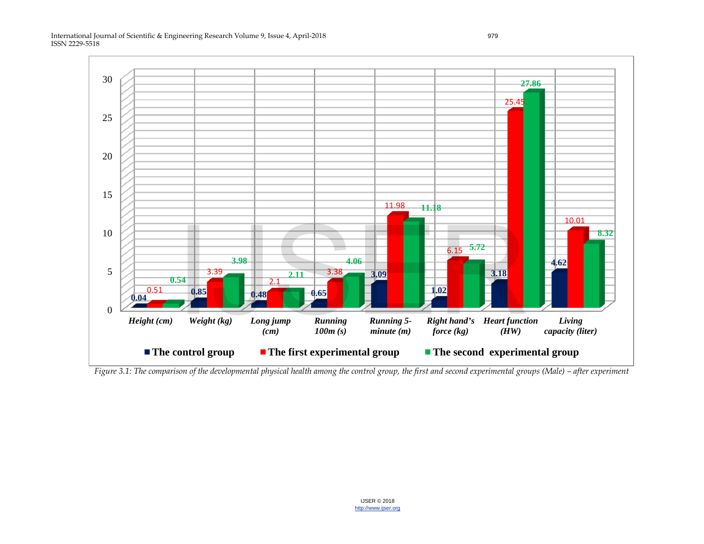International Journal of Scientific & Engineering Research Volume 9, Issue 4, April-2018 979 ISSN 2229-5518



*Figure 3.1: The comparison of the developmental physical health among the control group, the first and second experimental groups (Male) – after experiment*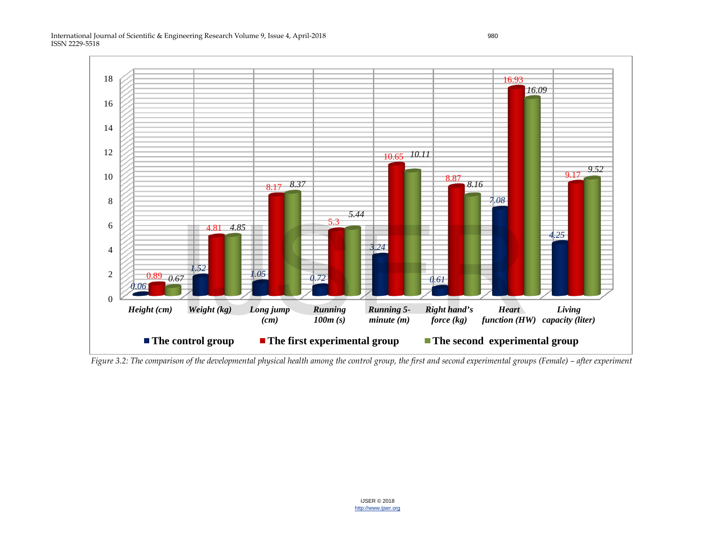International Journal of Scientific & Engineering Research Volume 9, Issue 4, April-2018 980 ISSN 2229-5518



*Figure 3.2: The comparison of the developmental physical health among the control group, the first and second experimental groups (Female) – after experiment*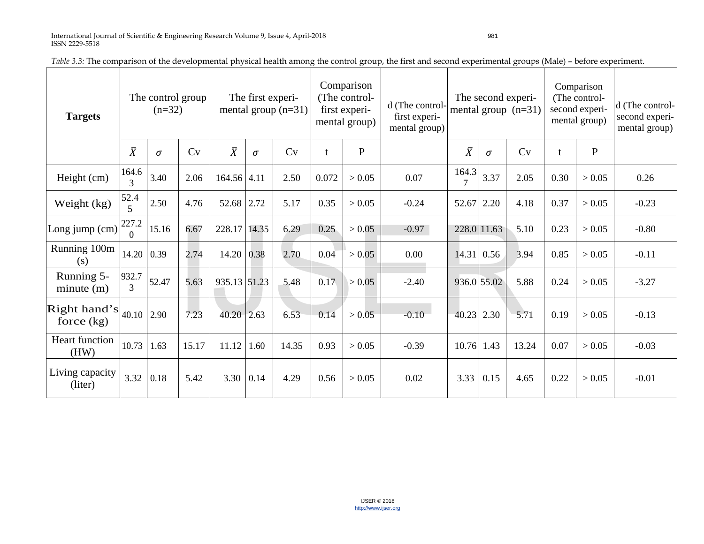| <b>Targets</b>                            | The control group<br>$(n=32)$ |          |                                                        | The first experi-<br>mental group $(n=31)$ |      |       | Comparison<br>(The control-<br>first experi-<br>mental group) |          | d (The control-<br>first experi-<br>mental group) |                         |              | The second experi-<br>mental group $(n=31)$ |      | Comparison<br>(The control-<br>second experi-<br>mental group) | d (The control-<br>second experi-<br>mental group) |
|-------------------------------------------|-------------------------------|----------|--------------------------------------------------------|--------------------------------------------|------|-------|---------------------------------------------------------------|----------|---------------------------------------------------|-------------------------|--------------|---------------------------------------------|------|----------------------------------------------------------------|----------------------------------------------------|
|                                           | $\bar{X}$                     | $\sigma$ | $\overline{X}$<br>$\mathbf{P}$<br>Cv<br>Cv<br>$\sigma$ |                                            |      |       | $\bar{X}$                                                     | $\sigma$ | Cv                                                |                         | $\mathbf{P}$ |                                             |      |                                                                |                                                    |
| Height (cm)                               | 164.6<br>$\mathcal{F}$        | 3.40     | 2.06                                                   | $164.56$ 4.11                              |      | 2.50  | 0.072                                                         | > 0.05   | 0.07                                              | 164.3<br>$\overline{7}$ | 3.37         | 2.05                                        | 0.30 | > 0.05                                                         | 0.26                                               |
| Weight (kg)                               | 52.4<br>$\leq$                | 2.50     | 4.76                                                   | 52.68 2.72                                 |      | 5.17  | 0.35                                                          | > 0.05   | $-0.24$                                           | 52.67                   | 2.20         | 4.18                                        | 0.37 | > 0.05                                                         | $-0.23$                                            |
| Long jump (cm)                            | 227.2<br>$\Omega$             | 15.16    | 6.67                                                   | 228.17 14.35                               |      | 6.29  | 0.25                                                          | > 0.05   | $-0.97$                                           | 228.0 11.63             |              | 5.10                                        | 0.23 | > 0.05                                                         | $-0.80$                                            |
| Running 100m<br>(s)                       | 14.20                         | 0.39     | 2.74                                                   | 14.20                                      | 0.38 | 2.70  | 0.04                                                          | > 0.05   | 0.00                                              | 14.31                   | 0.56         | 3.94                                        | 0.85 | > 0.05                                                         | $-0.11$                                            |
| Running 5-<br>minute(m)                   | 932.7<br>$\overline{3}$       | 52.47    | 5.63                                                   | 935.13 51.23                               |      | 5.48  | 0.17                                                          | > 0.05   | $-2.40$                                           | 936.0 55.02             |              | 5.88                                        | 0.24 | > 0.05                                                         | $-3.27$                                            |
| Right hand's $ _{40.10} $<br>force $(kg)$ |                               | 2.90     | 7.23                                                   | $40.20 \times 2.63$                        |      | 6.53  | $-0.14$                                                       | > 0.05   | $-0.10$                                           | 40.23 2.30              |              | 5.71                                        | 0.19 | > 0.05                                                         | $-0.13$                                            |
| Heart function<br>(HW)                    | 10.73                         | 1.63     | 15.17                                                  | 11.12                                      | 1.60 | 14.35 | 0.93                                                          | > 0.05   | $-0.39$                                           | 10.76                   | 1.43         | 13.24                                       | 0.07 | > 0.05                                                         | $-0.03$                                            |
| Living capacity<br>(liter)                | 3.32                          | 0.18     | 5.42                                                   | 3.30                                       | 0.14 | 4.29  | 0.56                                                          | > 0.05   | 0.02                                              | 3.33                    | 0.15         | 4.65                                        | 0.22 | > 0.05                                                         | $-0.01$                                            |

*Table 3.3:* The comparison of the developmental physical health among the control group, the first and second experimental groups (Male) – before experiment.